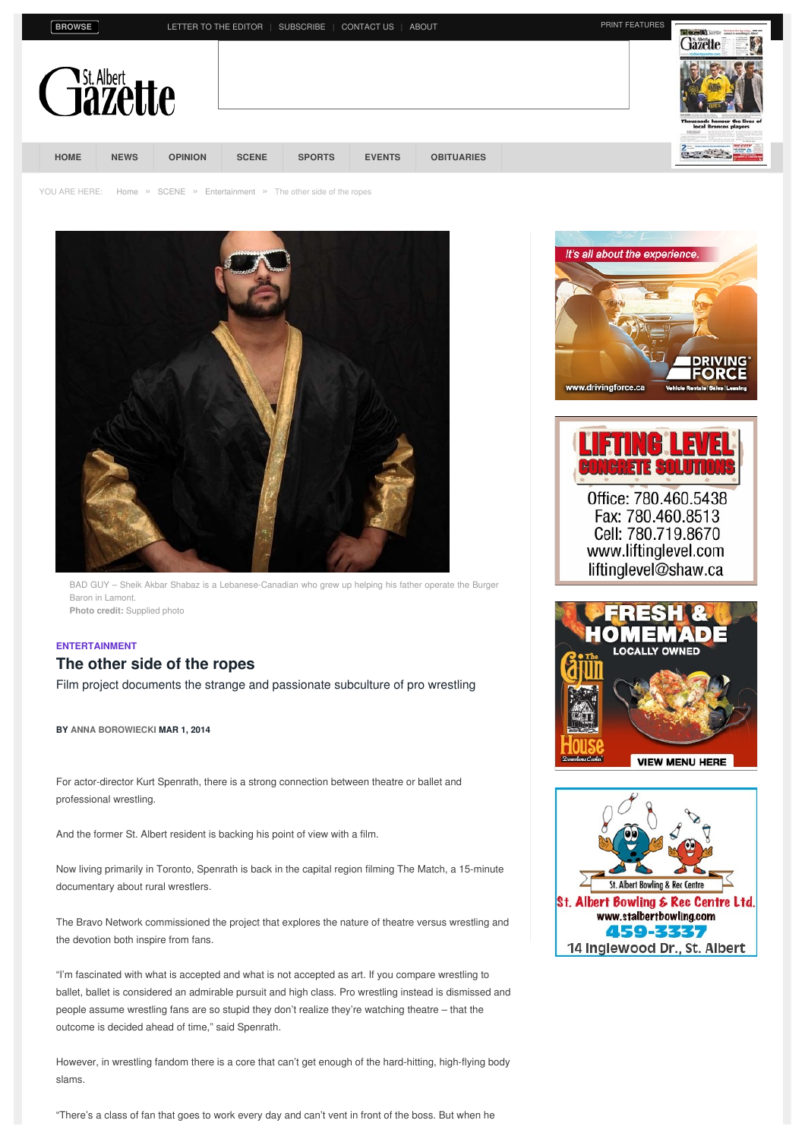| <b>BROWS</b> |  |  |
|--------------|--|--|
|              |  |  |

**BROWSER TO THE EDITOR | [SUBSCRIBE](https://www.stalbertgazette.com/subscribe) | [CONTACT](https://www.stalbertgazette.com/contact-us) US | [ABOUT](http://www.greatwest.ca/publications/st-albert-gazette/) PRINT [FEATURES](https://www.stalbertgazette.com/st-albert-gazette/print-features/)** 



YOU ARE HERE: [Home](https://www.stalbertgazette.com/) » [SCENE](https://www.stalbertgazette.com/st-albert/scene) » [Entertainment](https://www.stalbertgazette.com/st-albert/scene/entertainment) » The other side of the ropes



BAD GUY – Sheik Akbar Shabaz is a Lebanese-Canadian who grew up helping his father operate the Burger Baron in Lamont. **Photo credit:** Supplied photo

### **[ENTERTAINMENT](https://www.stalbertgazette.com/st-albert/scene/entertainment)**

## **The other side of the ropes**

Film project documents the strange and passionate subculture of pro wrestling

**BY ANNA [BOROWIECKI](https://www.stalbertgazette.com/article/author/anna-borowiecki) MAR 1, 2014**

For actor-director Kurt Spenrath, there is a strong connection between theatre or ballet and professional wrestling.

And the former St. Albert resident is backing his point of view with a film.

Now living primarily in Toronto, Spenrath is back in the capital region filming The Match, a 15-minute documentary about rural wrestlers.

The Bravo Network commissioned the project that explores the nature of theatre versus wrestling and the devotion both inspire from fans.

"I'm fascinated with what is accepted and what is not accepted as art. If you compare wrestling to ballet, ballet is considered an admirable pursuit and high class. Pro wrestling instead is dismissed and people assume wrestling fans are so stupid they don't realize they're watching theatre – that the outcome is decided ahead of time," said Spenrath.

However, in wrestling fandom there is a core that can't get enough of the hard-hitting, high-flying body slams.

"There's a class of fan that goes to work every day and can't vent in front of the boss. But when he

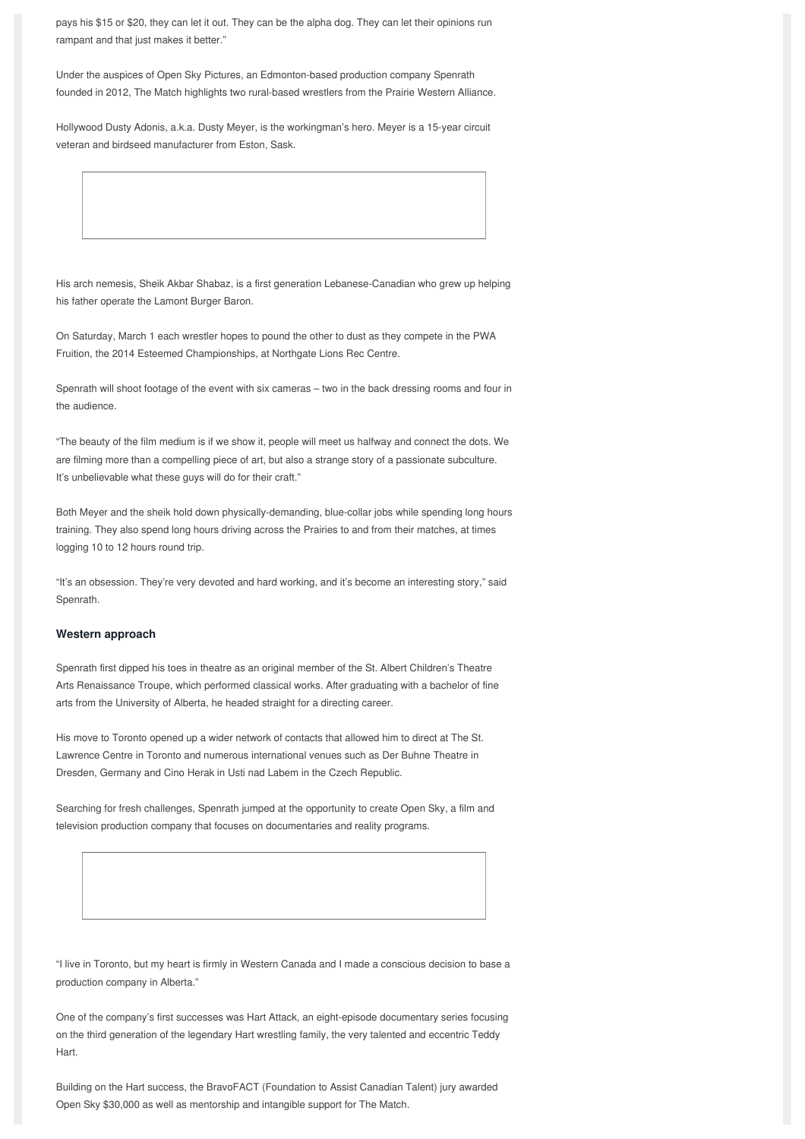pays his \$15 or \$20, they can let it out. They can be the alpha dog. They can let their opinions run rampant and that just makes it better."

Under the auspices of Open Sky Pictures, an Edmonton-based production company Spenrath founded in 2012, The Match highlights two rural-based wrestlers from the Prairie Western Alliance.

Hollywood Dusty Adonis, a.k.a. Dusty Meyer, is the workingman's hero. Meyer is a 15-year circuit veteran and birdseed manufacturer from Eston, Sask.

His arch nemesis, Sheik Akbar Shabaz, is a first generation Lebanese-Canadian who grew up helping his father operate the Lamont Burger Baron.

On Saturday, March 1 each wrestler hopes to pound the other to dust as they compete in the PWA Fruition, the 2014 Esteemed Championships, at Northgate Lions Rec Centre.

Spenrath will shoot footage of the event with six cameras – two in the back dressing rooms and four in the audience.

"The beauty of the film medium is if we show it, people will meet us halfway and connect the dots. We are filming more than a compelling piece of art, but also a strange story of a passionate subculture. It's unbelievable what these guys will do for their craft."

Both Meyer and the sheik hold down physically-demanding, blue-collar jobs while spending long hours training. They also spend long hours driving across the Prairies to and from their matches, at times logging 10 to 12 hours round trip.

"It's an obsession. They're very devoted and hard working, and it's become an interesting story," said Spenrath.

### **Western approach**

Spenrath first dipped his toes in theatre as an original member of the St. Albert Children's Theatre Arts Renaissance Troupe, which performed classical works. After graduating with a bachelor of fine arts from the University of Alberta, he headed straight for a directing career.

His move to Toronto opened up a wider network of contacts that allowed him to direct at The St. Lawrence Centre in Toronto and numerous international venues such as Der Buhne Theatre in Dresden, Germany and Cino Herak in Usti nad Labem in the Czech Republic.

Searching for fresh challenges, Spenrath jumped at the opportunity to create Open Sky, a film and television production company that focuses on documentaries and reality programs.

"I live in Toronto, but my heart is firmly in Western Canada and I made a conscious decision to base a production company in Alberta."

One of the company's first successes was Hart Attack, an eight-episode documentary series focusing on the third generation of the legendary Hart wrestling family, the very talented and eccentric Teddy Hart.

Building on the Hart success, the BravoFACT (Foundation to Assist Canadian Talent) jury awarded Open Sky \$30,000 as well as mentorship and intangible support for The Match.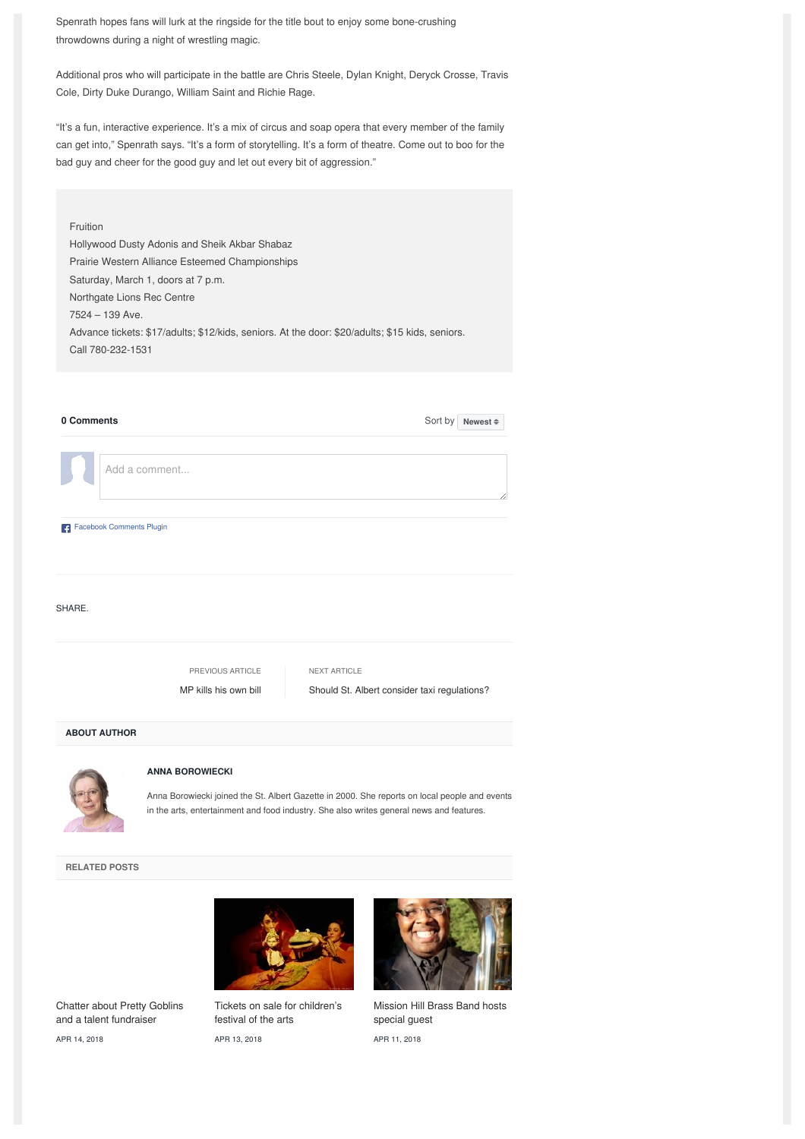Spenrath hopes fans will lurk at the ringside for the title bout to enjoy some bone-crushing throwdowns during a night of wrestling magic.

Additional pros who will participate in the battle are Chris Steele, Dylan Knight, Deryck Crosse, Travis Cole, Dirty Duke Durango, William Saint and Richie Rage.

"It's a fun, interactive experience. It's a mix of circus and soap opera that every member of the family can get into," Spenrath says. "It's a form of storytelling. It's a form of theatre. Come out to boo for the bad guy and cheer for the good guy and let out every bit of aggression."

# Fruition Hollywood Dusty Adonis and Sheik Akbar Shabaz Prairie Western Alliance Esteemed Championships Saturday, March 1, doors at 7 p.m. Northgate Lions Rec Centre 7524 – 139 Ave. Advance tickets: \$17/adults; \$12/kids, seniors. At the door: \$20/adults; \$15 kids, seniors. Call 780-232-1531

| 0 Comments               | Sort by                                                                                                                                                                                                             | Newest # |
|--------------------------|---------------------------------------------------------------------------------------------------------------------------------------------------------------------------------------------------------------------|----------|
|                          | Add a comment                                                                                                                                                                                                       |          |
| Facebook Comments Plugin |                                                                                                                                                                                                                     |          |
| SHARE.                   |                                                                                                                                                                                                                     |          |
|                          | PREVIOUS ARTICLE<br><b>NEXT ARTICLE</b>                                                                                                                                                                             |          |
|                          | MP kills his own bill<br>Should St. Albert consider taxi regulations?                                                                                                                                               |          |
| <b>ABOUT AUTHOR</b>      |                                                                                                                                                                                                                     |          |
|                          | <b>ANNA BOROWIECKI</b><br>Anna Borowiecki joined the St. Albert Gazette in 2000. She reports on local people and events<br>in the arts, entertainment and food industry. She also writes general news and features. |          |

**RELATED POSTS**

Chatter about Pretty Goblins and a talent [fundraiser](https://www.stalbertgazette.com/article/lets-chatter-pretty-goblins-talent-fundraiser-20180414)

APR 14, 2018



APR 13, 2018 Tickets on sale for [children's](https://www.stalbertgazette.com/article/tickets-sale-international-childrens-festival-arts-20180413) festival of the arts



APR 11, 2018 [Mission](https://www.stalbertgazette.com/article/mission-hill-brass-band-gala-concert-hosts-special-guest-euphonium-soloist-demondrae-thurman-20180411) Hill Brass Band hosts special guest